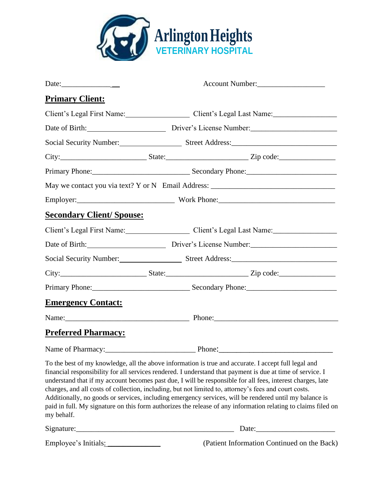

|                                  | Account Number:                                                                                                                                                                                                                                                                                                                                                                                                                                                                                                                                                                                                                                                      |
|----------------------------------|----------------------------------------------------------------------------------------------------------------------------------------------------------------------------------------------------------------------------------------------------------------------------------------------------------------------------------------------------------------------------------------------------------------------------------------------------------------------------------------------------------------------------------------------------------------------------------------------------------------------------------------------------------------------|
| <b>Primary Client:</b>           |                                                                                                                                                                                                                                                                                                                                                                                                                                                                                                                                                                                                                                                                      |
|                                  | Client's Legal First Name: Client's Legal Last Name:                                                                                                                                                                                                                                                                                                                                                                                                                                                                                                                                                                                                                 |
|                                  | Date of Birth: Driver's License Number:                                                                                                                                                                                                                                                                                                                                                                                                                                                                                                                                                                                                                              |
|                                  | Social Security Number: Street Address: Street Address:                                                                                                                                                                                                                                                                                                                                                                                                                                                                                                                                                                                                              |
|                                  |                                                                                                                                                                                                                                                                                                                                                                                                                                                                                                                                                                                                                                                                      |
|                                  |                                                                                                                                                                                                                                                                                                                                                                                                                                                                                                                                                                                                                                                                      |
|                                  | May we contact you via text? Y or N Email Address: ______________________________                                                                                                                                                                                                                                                                                                                                                                                                                                                                                                                                                                                    |
|                                  | Employer: Work Phone: Work Phone:                                                                                                                                                                                                                                                                                                                                                                                                                                                                                                                                                                                                                                    |
| <b>Secondary Client/ Spouse:</b> |                                                                                                                                                                                                                                                                                                                                                                                                                                                                                                                                                                                                                                                                      |
|                                  | Client's Legal First Name: Client's Legal Last Name: Client's Legal Last Name:                                                                                                                                                                                                                                                                                                                                                                                                                                                                                                                                                                                       |
|                                  | Date of Birth: Driver's License Number:                                                                                                                                                                                                                                                                                                                                                                                                                                                                                                                                                                                                                              |
|                                  | Social Security Number: Street Address: Street Address:                                                                                                                                                                                                                                                                                                                                                                                                                                                                                                                                                                                                              |
|                                  |                                                                                                                                                                                                                                                                                                                                                                                                                                                                                                                                                                                                                                                                      |
|                                  |                                                                                                                                                                                                                                                                                                                                                                                                                                                                                                                                                                                                                                                                      |
| <b>Emergency Contact:</b>        |                                                                                                                                                                                                                                                                                                                                                                                                                                                                                                                                                                                                                                                                      |
|                                  |                                                                                                                                                                                                                                                                                                                                                                                                                                                                                                                                                                                                                                                                      |
| <b>Preferred Pharmacy:</b>       |                                                                                                                                                                                                                                                                                                                                                                                                                                                                                                                                                                                                                                                                      |
|                                  |                                                                                                                                                                                                                                                                                                                                                                                                                                                                                                                                                                                                                                                                      |
| my behalf.                       | To the best of my knowledge, all the above information is true and accurate. I accept full legal and<br>financial responsibility for all services rendered. I understand that payment is due at time of service. I<br>understand that if my account becomes past due, I will be responsible for all fees, interest charges, late<br>charges, and all costs of collection, including, but not limited to, attorney's fees and court costs.<br>Additionally, no goods or services, including emergency services, will be rendered until my balance is<br>paid in full. My signature on this form authorizes the release of any information relating to claims filed on |

| Signature:           | Date:                                       |
|----------------------|---------------------------------------------|
| Employee's Initials: | (Patient Information Continued on the Back) |